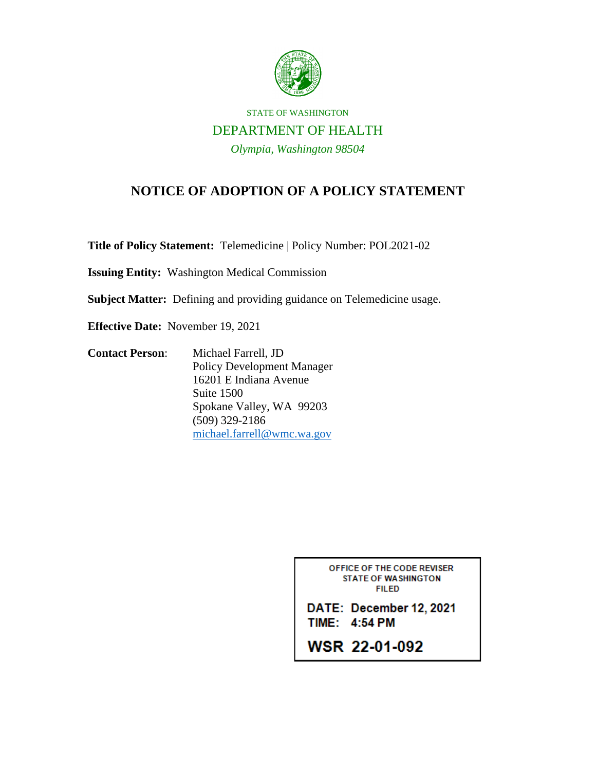

## STATE OF WASHINGTON DEPARTMENT OF HEALTH *Olympia, Washington 98504*

## **NOTICE OF ADOPTION OF A POLICY STATEMENT**

**Title of Policy Statement:** Telemedicine | Policy Number: POL2021-02

**Issuing Entity:** Washington Medical Commission

**Subject Matter:** Defining and providing guidance on Telemedicine usage.

**Effective Date:** November 19, 2021

**Contact Person**: Michael Farrell, JD Policy Development Manager 16201 E Indiana Avenue Suite 1500 Spokane Valley, WA 99203 (509) 329-2186 [michael.farrell@wmc.wa.gov](mailto:michael.farrell@wmc.wa.gov)

> OFFICE OF THE CODE REVISER **STATE OF WASHINGTON FILED**

DATE: December 12, 2021 TIME: 4:54 PM

**WSR 22-01-092**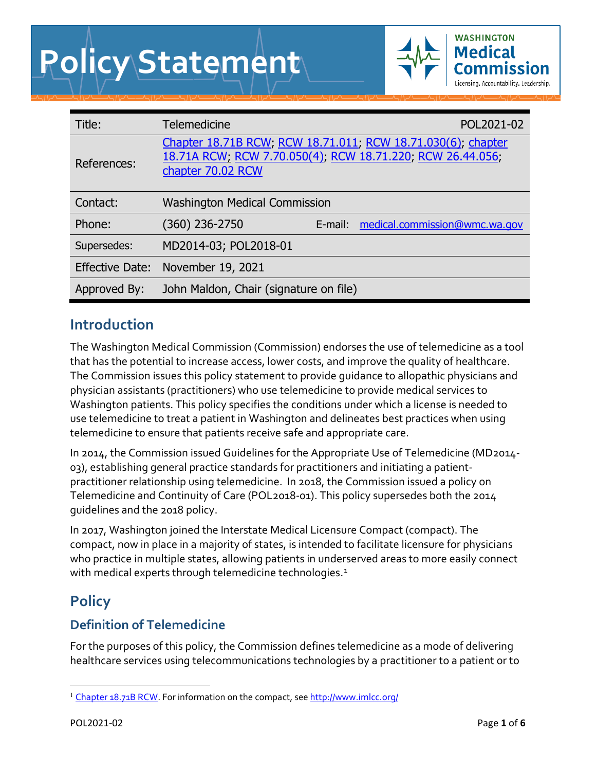# **Policy Statement**



| Title:                 | <b>Telemedicine</b>                                                                                                                             |         | POL2021-02                    |
|------------------------|-------------------------------------------------------------------------------------------------------------------------------------------------|---------|-------------------------------|
| References:            | Chapter 18.71B RCW, RCW 18.71.011, RCW 18.71.030(6), chapter<br>18.71A RCW, RCW 7.70.050(4), RCW 18.71.220, RCW 26.44.056;<br>chapter 70.02 RCW |         |                               |
| Contact:               | <b>Washington Medical Commission</b>                                                                                                            |         |                               |
| Phone:                 | (360) 236-2750                                                                                                                                  | E-mail: | medical.commission@wmc.wa.gov |
| Supersedes:            | MD2014-03; POL2018-01                                                                                                                           |         |                               |
| <b>Effective Date:</b> | November 19, 2021                                                                                                                               |         |                               |
| Approved By:           | John Maldon, Chair (signature on file)                                                                                                          |         |                               |

# **Introduction**

The Washington Medical Commission (Commission) endorses the use of telemedicine as a tool that has the potential to increase access, lower costs, and improve the quality of healthcare. The Commission issues this policy statement to provide guidance to allopathic physicians and physician assistants (practitioners) who use telemedicine to provide medical services to Washington patients. This policy specifies the conditions under which a license is needed to use telemedicine to treat a patient in Washington and delineates best practices when using telemedicine to ensure that patients receive safe and appropriate care.

In 2014, the Commission issued Guidelines for the Appropriate Use of Telemedicine (MD2014- 03), establishing general practice standards for practitioners and initiating a patientpractitioner relationship using telemedicine. In 2018, the Commission issued a policy on Telemedicine and Continuity of Care (POL2018-01). This policy supersedes both the 2014 guidelines and the 2018 policy.

In 2017, Washington joined the Interstate Medical Licensure Compact (compact). The compact, now in place in a majority of states, is intended to facilitate licensure for physicians who practice in multiple states, allowing patients in underserved areas to more easily connect with medical experts through telemedicine technologies.<sup>[1](#page-1-0)</sup>

# **Policy**

# **Definition of Telemedicine**

For the purposes of this policy, the Commission defines telemedicine as a mode of delivering healthcare services using telecommunications technologies by a practitioner to a patient or to

<span id="page-1-0"></span><sup>&</sup>lt;sup>1</sup> [Chapter 18.71B RCW.](https://app.leg.wa.gov/rcw/default.aspx?cite=18.71B) For information on the compact, see<http://www.imlcc.org/>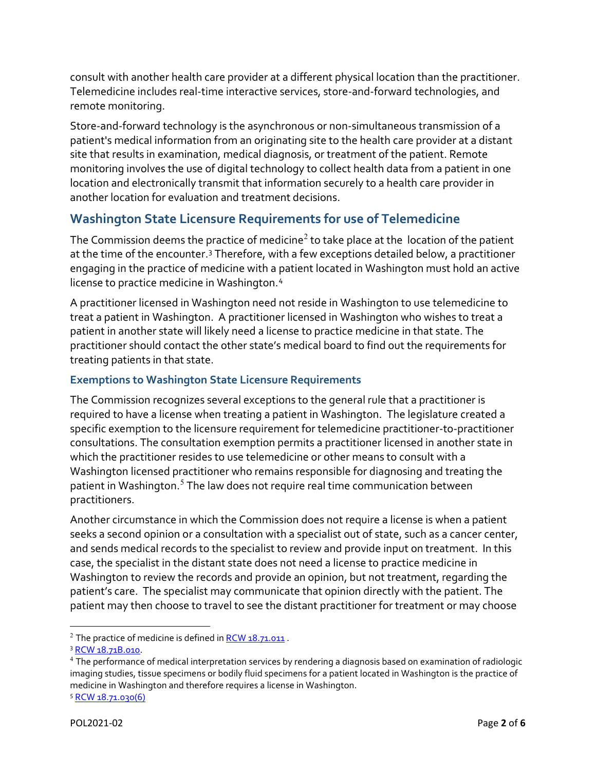consult with another health care provider at a different physical location than the practitioner. Telemedicine includes real-time interactive services, store-and-forward technologies, and remote monitoring.

Store-and-forward technology is the asynchronous or non-simultaneous transmission of a patient's medical information from an originating site to the health care provider at a distant site that results in examination, medical diagnosis, or treatment of the patient. Remote monitoring involves the use of digital technology to collect health data from a patient in one location and electronically transmit that information securely to a health care provider in another location for evaluation and treatment decisions.

## **Washington State Licensure Requirements for use of Telemedicine**

The Commission deems the practice of medicine<sup>[2](#page-2-0)</sup> to take place at the location of the patient at the time of the encounter.<sup>[3](#page-2-1)</sup> Therefore, with a few exceptions detailed below, a practitioner engaging in the practice of medicine with a patient located in Washington must hold an active license to practice medicine in Washington.[4](#page-2-2)

A practitioner licensed in Washington need not reside in Washington to use telemedicine to treat a patient in Washington. A practitioner licensed in Washington who wishes to treat a patient in another state will likely need a license to practice medicine in that state. The practitioner should contact the other state's medical board to find out the requirements for treating patients in that state.

#### **Exemptions to Washington State Licensure Requirements**

The Commission recognizes several exceptions to the general rule that a practitioner is required to have a license when treating a patient in Washington. The legislature created a specific exemption to the licensure requirement for telemedicine practitioner-to-practitioner consultations. The consultation exemption permits a practitioner licensed in another state in which the practitioner resides to use telemedicine or other means to consult with a Washington licensed practitioner who remains responsible for diagnosing and treating the patient in Washington.<sup>[5](#page-2-3)</sup> The law does not require real time communication between practitioners.

Another circumstance in which the Commission does not require a license is when a patient seeks a second opinion or a consultation with a specialist out of state, such as a cancer center, and sends medical records to the specialist to review and provide input on treatment. In this case, the specialist in the distant state does not need a license to practice medicine in Washington to review the records and provide an opinion, but not treatment, regarding the patient's care. The specialist may communicate that opinion directly with the patient. The patient may then choose to travel to see the distant practitioner for treatment or may choose

<span id="page-2-0"></span> $2$  The practice of medicine is defined in RCW  $18.71.011$ .

<span id="page-2-1"></span><sup>3</sup> [RCW 18.71B.010.](https://app.leg.wa.gov/RCW/default.aspx?cite=18.71B.010)

<span id="page-2-2"></span><sup>4</sup> The performance of medical interpretation services by rendering a diagnosis based on examination of radiologic imaging studies, tissue specimens or bodily fluid specimens for a patient located in Washington is the practice of medicine in Washington and therefore requires a license in Washington.

<span id="page-2-3"></span><sup>5</sup> [RCW 18.71.030\(6\)](https://app.leg.wa.gov/rcw/default.aspx?cite=18.71.030)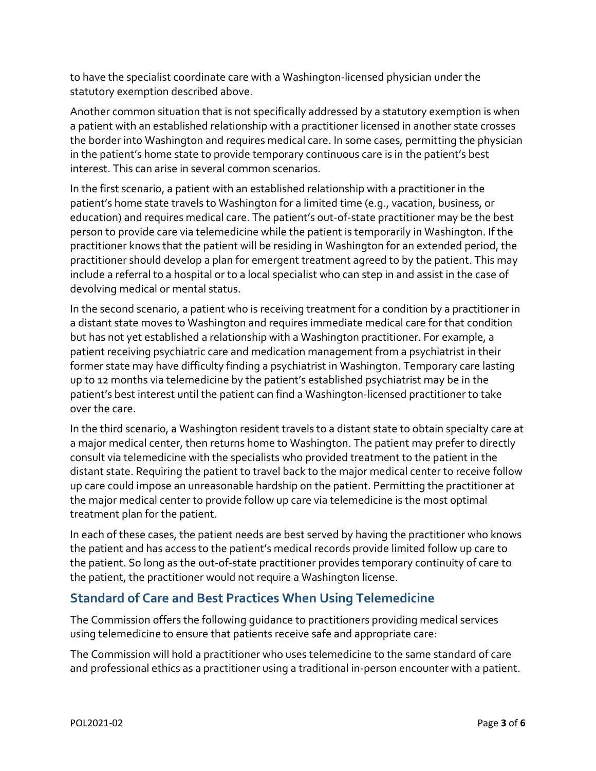to have the specialist coordinate care with a Washington-licensed physician under the statutory exemption described above.

Another common situation that is not specifically addressed by a statutory exemption is when a patient with an established relationship with a practitioner licensed in another state crosses the border into Washington and requires medical care. In some cases, permitting the physician in the patient's home state to provide temporary continuous care is in the patient's best interest. This can arise in several common scenarios.

In the first scenario, a patient with an established relationship with a practitioner in the patient's home state travels to Washington for a limited time (e.g., vacation, business, or education) and requires medical care. The patient's out-of-state practitioner may be the best person to provide care via telemedicine while the patient is temporarily in Washington. If the practitioner knows that the patient will be residing in Washington for an extended period, the practitioner should develop a plan for emergent treatment agreed to by the patient. This may include a referral to a hospital or to a local specialist who can step in and assist in the case of devolving medical or mental status.

In the second scenario, a patient who is receiving treatment for a condition by a practitioner in a distant state moves to Washington and requires immediate medical care for that condition but has not yet established a relationship with a Washington practitioner. For example, a patient receiving psychiatric care and medication management from a psychiatrist in their former state may have difficulty finding a psychiatrist in Washington. Temporary care lasting up to 12 months via telemedicine by the patient's established psychiatrist may be in the patient's best interest until the patient can find a Washington-licensed practitioner to take over the care.

In the third scenario, a Washington resident travels to a distant state to obtain specialty care at a major medical center, then returns home to Washington. The patient may prefer to directly consult via telemedicine with the specialists who provided treatment to the patient in the distant state. Requiring the patient to travel back to the major medical center to receive follow up care could impose an unreasonable hardship on the patient. Permitting the practitioner at the major medical center to provide follow up care via telemedicine is the most optimal treatment plan for the patient.

In each of these cases, the patient needs are best served by having the practitioner who knows the patient and has access to the patient's medical records provide limited follow up care to the patient. So long as the out-of-state practitioner provides temporary continuity of care to the patient, the practitioner would not require a Washington license.

## **Standard of Care and Best Practices When Using Telemedicine**

The Commission offers the following guidance to practitioners providing medical services using telemedicine to ensure that patients receive safe and appropriate care:

The Commission will hold a practitioner who uses telemedicine to the same standard of care and professional ethics as a practitioner using a traditional in-person encounter with a patient.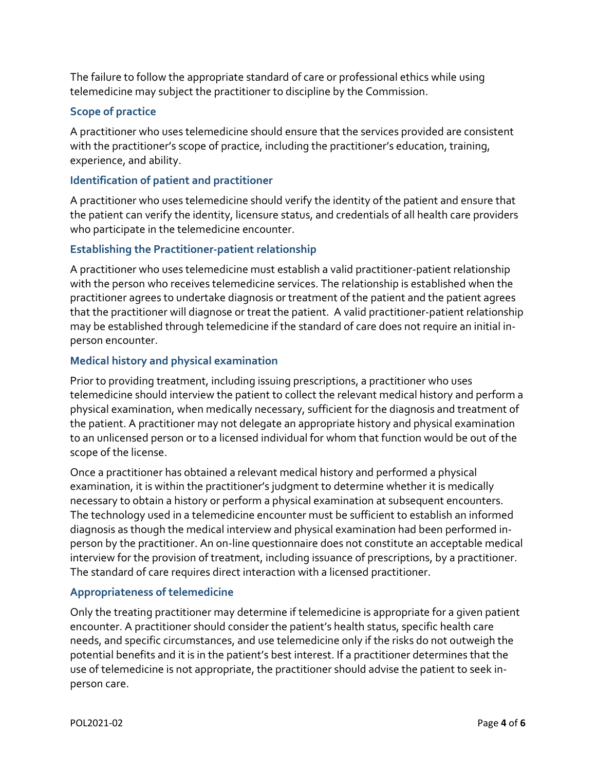The failure to follow the appropriate standard of care or professional ethics while using telemedicine may subject the practitioner to discipline by the Commission.

#### **Scope of practice**

A practitioner who uses telemedicine should ensure that the services provided are consistent with the practitioner's scope of practice, including the practitioner's education, training, experience, and ability.

#### **Identification of patient and practitioner**

A practitioner who uses telemedicine should verify the identity of the patient and ensure that the patient can verify the identity, licensure status, and credentials of all health care providers who participate in the telemedicine encounter.

#### **Establishing the Practitioner-patient relationship**

A practitioner who uses telemedicine must establish a valid practitioner-patient relationship with the person who receives telemedicine services. The relationship is established when the practitioner agrees to undertake diagnosis or treatment of the patient and the patient agrees that the practitioner will diagnose or treat the patient. A valid practitioner-patient relationship may be established through telemedicine if the standard of care does not require an initial inperson encounter.

#### **Medical history and physical examination**

Prior to providing treatment, including issuing prescriptions, a practitioner who uses telemedicine should interview the patient to collect the relevant medical history and perform a physical examination, when medically necessary, sufficient for the diagnosis and treatment of the patient. A practitioner may not delegate an appropriate history and physical examination to an unlicensed person or to a licensed individual for whom that function would be out of the scope of the license.

Once a practitioner has obtained a relevant medical history and performed a physical examination, it is within the practitioner's judgment to determine whether it is medically necessary to obtain a history or perform a physical examination at subsequent encounters. The technology used in a telemedicine encounter must be sufficient to establish an informed diagnosis as though the medical interview and physical examination had been performed inperson by the practitioner. An on-line questionnaire does not constitute an acceptable medical interview for the provision of treatment, including issuance of prescriptions, by a practitioner. The standard of care requires direct interaction with a licensed practitioner.

#### **Appropriateness of telemedicine**

Only the treating practitioner may determine if telemedicine is appropriate for a given patient encounter. A practitioner should consider the patient's health status, specific health care needs, and specific circumstances, and use telemedicine only if the risks do not outweigh the potential benefits and it is in the patient's best interest. If a practitioner determines that the use of telemedicine is not appropriate, the practitioner should advise the patient to seek inperson care.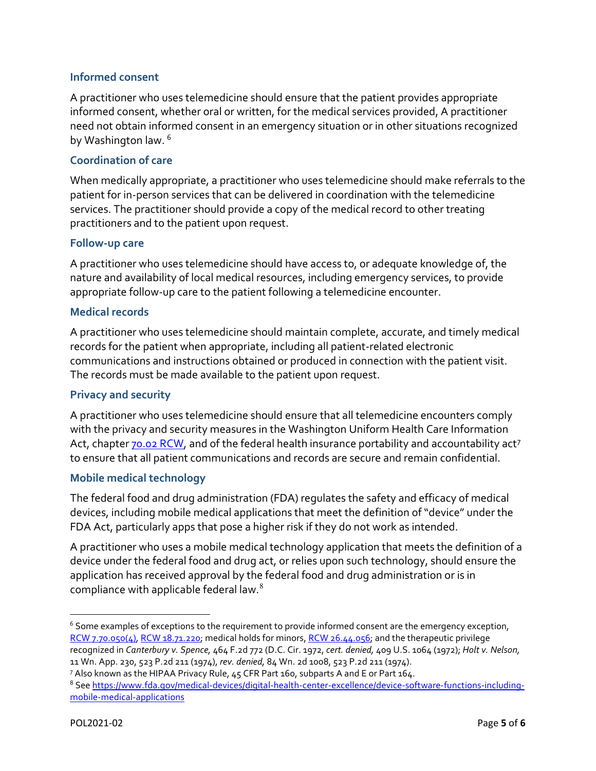#### **Informed consent**

A practitioner who uses telemedicine should ensure that the patient provides appropriate informed consent, whether oral or written, for the medical services provided, A practitioner need not obtain informed consent in an emergency situation or in other situations recognized by Washington law. <sup>[6](#page-5-0)</sup>

#### **Coordination of care**

When medically appropriate, a practitioner who uses telemedicine should make referrals to the patient for in-person services that can be delivered in coordination with the telemedicine services. The practitioner should provide a copy of the medical record to other treating practitioners and to the patient upon request.

#### **Follow-up care**

A practitioner who uses telemedicine should have access to, or adequate knowledge of, the nature and availability of local medical resources, including emergency services, to provide appropriate follow-up care to the patient following a telemedicine encounter.

#### **Medical records**

A practitioner who uses telemedicine should maintain complete, accurate, and timely medical records for the patient when appropriate, including all patient-related electronic communications and instructions obtained or produced in connection with the patient visit. The records must be made available to the patient upon request.

#### **Privacy and security**

A practitioner who uses telemedicine should ensure that all telemedicine encounters comply with the privacy and security measures in the Washington Uniform Health Care Information Act, chapter [70.02 RCW,](https://app.leg.wa.gov/rcw/default.aspx?cite=70.02&full=true) and of the federal health insurance portability and accountability act<sup>[7](#page-5-1)</sup> to ensure that all patient communications and records are secure and remain confidential.

#### **Mobile medical technology**

The federal food and drug administration (FDA) regulates the safety and efficacy of medical devices, including mobile medical applications that meet the definition of "device" under the FDA Act, particularly apps that pose a higher risk if they do not work as intended.

A practitioner who uses a mobile medical technology application that meets the definition of a device under the federal food and drug act, or relies upon such technology, should ensure the application has received approval by the federal food and drug administration or is in compliance with applicable federal law.[8](#page-5-2)

<span id="page-5-0"></span><sup>&</sup>lt;sup>6</sup> Some examples of exceptions to the requirement to provide informed consent are the emergency exception, [RCW 7.70.050\(4\),](https://app.leg.wa.gov/RCW/default.aspx?cite=7.70.050) [RCW 18.71.220;](https://app.leg.wa.gov/rcw/default.aspx?cite=18.71.220) medical holds for minors, [RCW 26.44.056;](https://app.leg.wa.gov/rcw/default.aspx?cite=26.44.056) and the therapeutic privilege recognized in *Canterbury v. Spence,* 464 F.2d 772 (D.C. Cir. 1972, *cert. denied,* 409 U.S. 1064 (1972); *Holt v. Nelson,* 11 Wn. App. 230, 523 P.2d 211 (1974), *rev. denied,* 84 Wn. 2d 1008, 523 P.2d 211 (1974).

<span id="page-5-1"></span><sup>7</sup> Also known as the HIPAA Privacy Rule, 45 CFR Part 160, subparts A and E or Part 164.

<span id="page-5-2"></span><sup>&</sup>lt;sup>8</sup> See [https://www.fda.gov/medical-devices/digital-health-center-excellence/device-software-functions-including](https://www.fda.gov/medical-devices/digital-health-center-excellence/device-software-functions-including-mobile-medical-applications)[mobile-medical-applications](https://www.fda.gov/medical-devices/digital-health-center-excellence/device-software-functions-including-mobile-medical-applications)